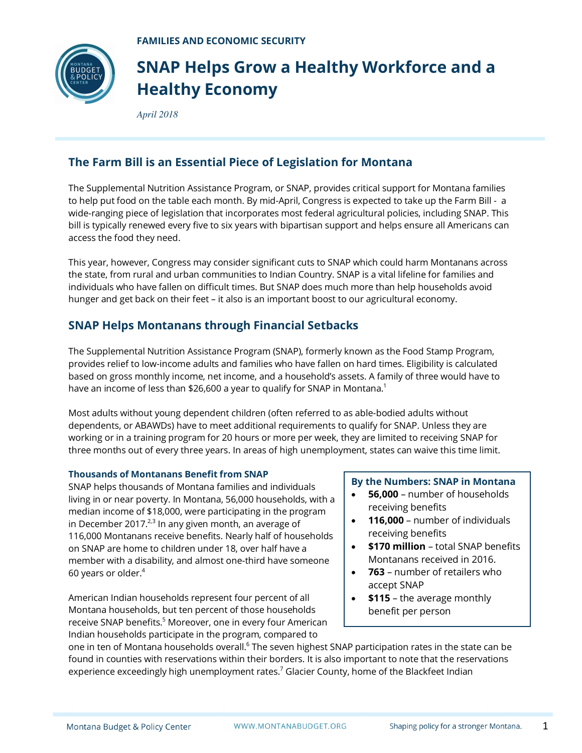

# **SNAP Helps Grow a Healthy Workforce and a Healthy Economy**

*April 2018*

# **The Farm Bill is an Essential Piece of Legislation for Montana**

The Supplemental Nutrition Assistance Program, or SNAP, provides critical support for Montana families to help put food on the table each month. By mid-April, Congress is expected to take up the Farm Bill - a wide-ranging piece of legislation that incorporates most federal agricultural policies, including SNAP. This bill is typically renewed every five to six years with bipartisan support and helps ensure all Americans can access the food they need.

This year, however, Congress may consider significant cuts to SNAP which could harm Montanans across the state, from rural and urban communities to Indian Country. SNAP is a vital lifeline for families and individuals who have fallen on difficult times. But SNAP does much more than help households avoid hunger and get back on their feet – it also is an important boost to our agricultural economy.

# **SNAP Helps Montanans through Financial Setbacks**

The Supplemental Nutrition Assistance Program (SNAP), formerly known as the Food Stamp Program, provides relief to low-income adults and families who have fallen on hard times. Eligibility is calculated based on gross monthly income, net income, and a household's assets. A family of three would have to have an income of less than \$26,600 a year to qualify for SNAP in Montana.<sup>1</sup>

Most adults without young dependent children (often referred to as able-bodied adults without dependents, or ABAWDs) have to meet additional requirements to qualify for SNAP. Unless they are working or in a training program for 20 hours or more per week, they are limited to receiving SNAP for three months out of every three years. In areas of high unemployment, states can waive this time limit.

### **Thousands of Montanans Benefit from SNAP**

SNAP helps thousands of Montana families and individuals living in or near poverty. In Montana, 56,000 households, with a median income of \$18,000, were participating in the program in December 2017. $^{2,3}$  In any given month, an average of 116,000 Montanans receive benefits. Nearly half of households on SNAP are home to children under 18, over half have a member with a disability, and almost one-third have someone 60 years or older.4

American Indian households represent four percent of all Montana households, but ten percent of those households receive SNAP benefits. <sup>5</sup> Moreover, one in every four American Indian households participate in the program, compared to

## **By the Numbers: SNAP in Montana**

- **56,000**  number of households receiving benefits
- **116,000**  number of individuals receiving benefits
- **\$170 million**  total SNAP benefits Montanans received in 2016.
- **763**  number of retailers who accept SNAP
- **\$115**  the average monthly benefit per person

one in ten of Montana households overall.<sup>6</sup> The seven highest SNAP participation rates in the state can be found in counties with reservations within their borders. It is also important to note that the reservations experience exceedingly high unemployment rates.<sup>7</sup> Glacier County, home of the Blackfeet Indian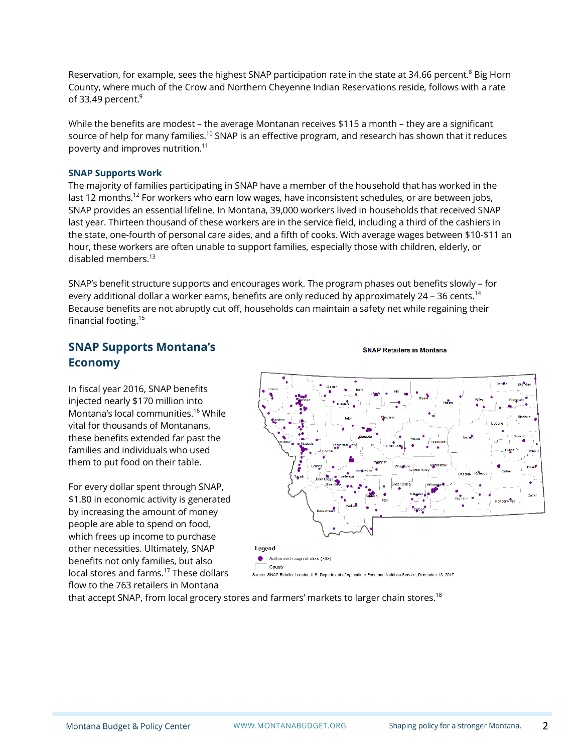Reservation, for example, sees the highest SNAP participation rate in the state at 34.66 percent.<sup>8</sup> Big Horn County, where much of the Crow and Northern Cheyenne Indian Reservations reside, follows with a rate of 33.49 percent.<sup>9</sup>

While the benefits are modest – the average Montanan receives \$115 a month – they are a significant source of help for many families.<sup>10</sup> SNAP is an effective program, and research has shown that it reduces poverty and improves nutrition.11

#### **SNAP Supports Work**

The majority of families participating in SNAP have a member of the household that has worked in the last 12 months.<sup>12</sup> For workers who earn low wages, have inconsistent schedules, or are between jobs, SNAP provides an essential lifeline. In Montana, 39,000 workers lived in households that received SNAP last year. Thirteen thousand of these workers are in the service field, including a third of the cashiers in the state, one-fourth of personal care aides, and a fifth of cooks. With average wages between \$10-\$11 an hour, these workers are often unable to support families, especially those with children, elderly, or disabled members.13

SNAP's benefit structure supports and encourages work. The program phases out benefits slowly – for every additional dollar a worker earns, benefits are only reduced by approximately 24 – 36 cents.<sup>14</sup> Because benefits are not abruptly cut off, households can maintain a safety net while regaining their financial footing.15

# **SNAP Supports Montana's Economy**

In fiscal year 2016, SNAP benefits injected nearly \$170 million into Montana's local communities.<sup>16</sup> While vital for thousands of Montanans, these benefits extended far past the families and individuals who used them to put food on their table.

For every dollar spent through SNAP, \$1.80 in economic activity is generated by increasing the amount of money people are able to spend on food, which frees up income to purchase other necessities. Ultimately, SNAP benefits not only families, but also local stores and farms.<sup>17</sup> These dollars flow to the 763 retailers in Montana



**SNAP Retailers in Montana** 

that accept SNAP, from local grocery stores and farmers' markets to larger chain stores.<sup>18</sup>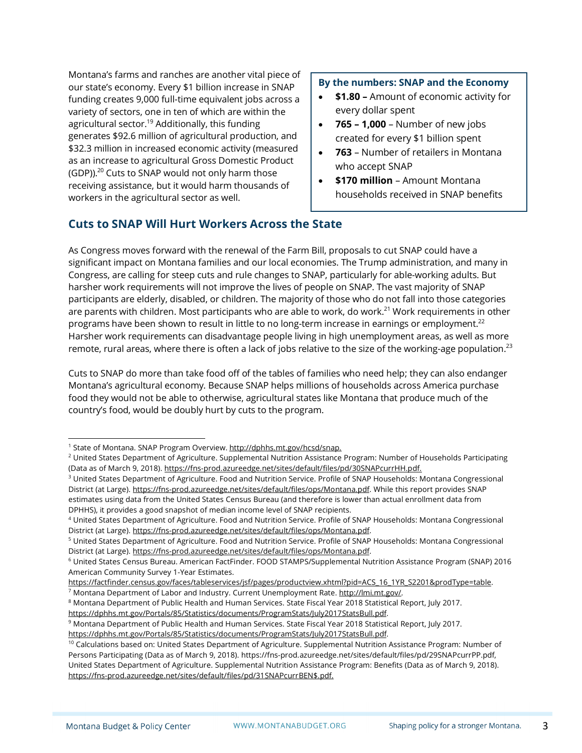Montana's farms and ranches are another vital piece of our state's economy. Every \$1 billion increase in SNAP funding creates 9,000 full-time equivalent jobs across a variety of sectors, one in ten of which are within the agricultural sector.<sup>19</sup> Additionally, this funding generates \$92.6 million of agricultural production, and \$32.3 million in increased economic activity (measured as an increase to agricultural Gross Domestic Product (GDP)). $^{20}$  Cuts to SNAP would not only harm those receiving assistance, but it would harm thousands of workers in the agricultural sector as well.

#### **By the numbers: SNAP and the Economy**

- **\$1.80 –** Amount of economic activity for every dollar spent
- **765 – 1,000**  Number of new jobs created for every \$1 billion spent
- **763**  Number of retailers in Montana who accept SNAP
- **\$170 million**  Amount Montana households received in SNAP benefits

# **Cuts to SNAP Will Hurt Workers Across the State**

As Congress moves forward with the renewal of the Farm Bill, proposals to cut SNAP could have a significant impact on Montana families and our local economies. The Trump administration, and many in Congress, are calling for steep cuts and rule changes to SNAP, particularly for able-working adults. But harsher work requirements will not improve the lives of people on SNAP. The vast majority of SNAP participants are elderly, disabled, or children. The majority of those who do not fall into those categories are parents with children. Most participants who are able to work, do work. <sup>21</sup> Work requirements in other programs have been shown to result in little to no long-term increase in earnings or employment.<sup>22</sup> Harsher work requirements can disadvantage people living in high unemployment areas, as well as more remote, rural areas, where there is often a lack of jobs relative to the size of the working-age population. $^{23}$ 

Cuts to SNAP do more than take food off of the tables of families who need help; they can also endanger Montana's agricultural economy. Because SNAP helps millions of households across America purchase food they would not be able to otherwise, agricultural states like Montana that produce much of the country's food, would be doubly hurt by cuts to the program.

l

<sup>&</sup>lt;sup>1</sup> State of Montana. SNAP Program Overview. http://dphhs.mt.gov/hcsd/snap.

<sup>&</sup>lt;sup>2</sup> United States Department of Agriculture. Supplemental Nutrition Assistance Program: Number of Households Participating (Data as of March 9, 2018). https://fns-prod.azureedge.net/sites/default/files/pd/30SNAPcurrHH.pdf.

<sup>3</sup> United States Department of Agriculture. Food and Nutrition Service. Profile of SNAP Households: Montana Congressional District (at Large). https://fns-prod.azureedge.net/sites/default/files/ops/Montana.pdf. While this report provides SNAP estimates using data from the United States Census Bureau (and therefore is lower than actual enrollment data from DPHHS), it provides a good snapshot of median income level of SNAP recipients.

<sup>4</sup> United States Department of Agriculture. Food and Nutrition Service. Profile of SNAP Households: Montana Congressional District (at Large). https://fns-prod.azureedge.net/sites/default/files/ops/Montana.pdf.

<sup>5</sup> United States Department of Agriculture. Food and Nutrition Service. Profile of SNAP Households: Montana Congressional District (at Large). https://fns-prod.azureedge.net/sites/default/files/ops/Montana.pdf.<br><sup>6</sup> United States Census Bureau. American FactFinder. FOOD STAMPS/Supplemental Nutrition Assistance Program (SNAP) 2016

American Community Survey 1-Year Estimates.

https://factfinder.census.gov/faces/tableservices/jsf/pages/productview.xhtml?pid=ACS\_16\_1YR\_S2201&prodType=table. <sup>7</sup> Montana Department of Labor and Industry. Current Unemployment Rate. <u>http://lmi.mt.gov/</u>.<br><sup>8</sup> Montana Department of Public Health and Human Services. State Fiscal Year 2018 Statistical Report, July 2017.

https://dphhs.mt.gov/Portals/85/Statistics/documents/ProgramStats/July2017StatsBull.pdf.<br><sup>9</sup> Montana Department of Public Health and Human Services. State Fiscal Year 2018 Statistical Report, July 2017.

https://dphhs.mt.gov/Portals/85/Statistics/documents/ProgramStats/July2017StatsBull.pdf.<br><sup>10</sup> Calculations based on: United States Department of Agriculture. Supplemental Nutrition Assistance Program: Number of Persons Participating (Data as of March 9, 2018). https://fns-prod.azureedge.net/sites/default/files/pd/29SNAPcurrPP.pdf, United States Department of Agriculture. Supplemental Nutrition Assistance Program: Benefits (Data as of March 9, 2018). https://fns-prod.azureedge.net/sites/default/files/pd/31SNAPcurrBEN\$.pdf.